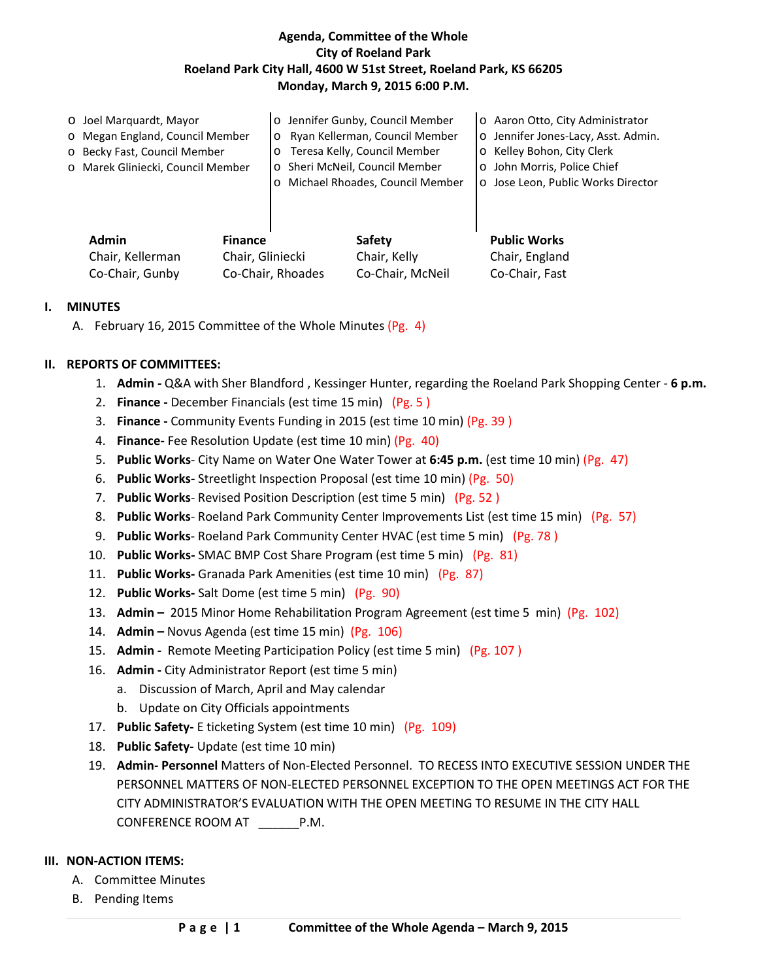## **Agenda, Committee of the Whole City of Roeland Park Roeland Park City Hall, 4600 W 51st Street, Roeland Park, KS 66205 Monday, March 9, 2015 6:00 P.M.**

| O Joel Marquardt, Mayor<br>o Megan England, Council Member<br>o Becky Fast, Council Member<br>o Marek Gliniecki, Council Member |                                    | o Jennifer Gunby, Council Member<br>Ryan Kellerman, Council Member<br>$\circ$<br>Teresa Kelly, Council Member<br>$\circ$<br>o Sheri McNeil, Council Member<br>o Michael Rhoades, Council Member |                               | o Aaron Otto, City Administrator<br>o Jennifer Jones-Lacy, Asst. Admin.<br>o Kelley Bohon, City Clerk<br>o John Morris, Police Chief<br>o Jose Leon, Public Works Director |
|---------------------------------------------------------------------------------------------------------------------------------|------------------------------------|-------------------------------------------------------------------------------------------------------------------------------------------------------------------------------------------------|-------------------------------|----------------------------------------------------------------------------------------------------------------------------------------------------------------------------|
| <b>Admin</b><br>Chair, Kellerman                                                                                                | <b>Finance</b><br>Chair, Gliniecki |                                                                                                                                                                                                 | <b>Safety</b><br>Chair, Kelly | <b>Public Works</b><br>Chair, England                                                                                                                                      |

#### **I. MINUTES**

A. February 16, 2015 Committee of the Whole Minutes (Pg. 4)

## **II. REPORTS OF COMMITTEES:**

- 1. **Admin -** Q&A with Sher Blandford , Kessinger Hunter, regarding the Roeland Park Shopping Center **6 p.m.**
- 2. **Finance -** December Financials (est time 15 min) (Pg. 5 )
- 3. **Finance -** Community Events Funding in 2015 (est time 10 min) (Pg. 39 )

Co-Chair, Gunby Co-Chair, Rhoades Co-Chair, McNeil Co-Chair, Fast

- 4. **Finance-** Fee Resolution Update (est time 10 min) (Pg. 40)
- 5. **Public Works** City Name on Water One Water Tower at **6:45 p.m.** (est time 10 min) (Pg. 47)
- 6. **Public Works-** Streetlight Inspection Proposal (est time 10 min) (Pg. 50)
- 7. **Public Works** Revised Position Description (est time 5 min) (Pg. 52 )
- 8. **Public Works** Roeland Park Community Center Improvements List (est time 15 min) (Pg. 57)
- 9. **Public Works** Roeland Park Community Center HVAC (est time 5 min) (Pg. 78 )
- 10. **Public Works-** SMAC BMP Cost Share Program (est time 5 min) (Pg. 81)
- 11. **Public Works-** Granada Park Amenities (est time 10 min) (Pg. 87)
- 12. **Public Works-** Salt Dome (est time 5 min) (Pg. 90)
- 13. **Admin –** 2015 Minor Home Rehabilitation Program Agreement (est time 5 min) (Pg. 102)
- 14. **Admin –** Novus Agenda (est time 15 min) (Pg. 106)
- 15. **Admin -** Remote Meeting Participation Policy (est time 5 min) (Pg. 107 )
- 16. **Admin -** City Administrator Report (est time 5 min)
	- a. Discussion of March, April and May calendar
	- b. Update on City Officials appointments
- 17. **Public Safety-** E ticketing System (est time 10 min) (Pg. 109)
- 18. **Public Safety-** Update (est time 10 min)
- 19. **Admin- Personnel** Matters of Non-Elected Personnel. TO RECESS INTO EXECUTIVE SESSION UNDER THE PERSONNEL MATTERS OF NON-ELECTED PERSONNEL EXCEPTION TO THE OPEN MEETINGS ACT FOR THE CITY ADMINISTRATOR'S EVALUATION WITH THE OPEN MEETING TO RESUME IN THE CITY HALL CONFERENCE ROOM AT \_\_\_\_\_\_P.M.

#### **III. NON-ACTION ITEMS:**

- A. Committee Minutes
- B. Pending Items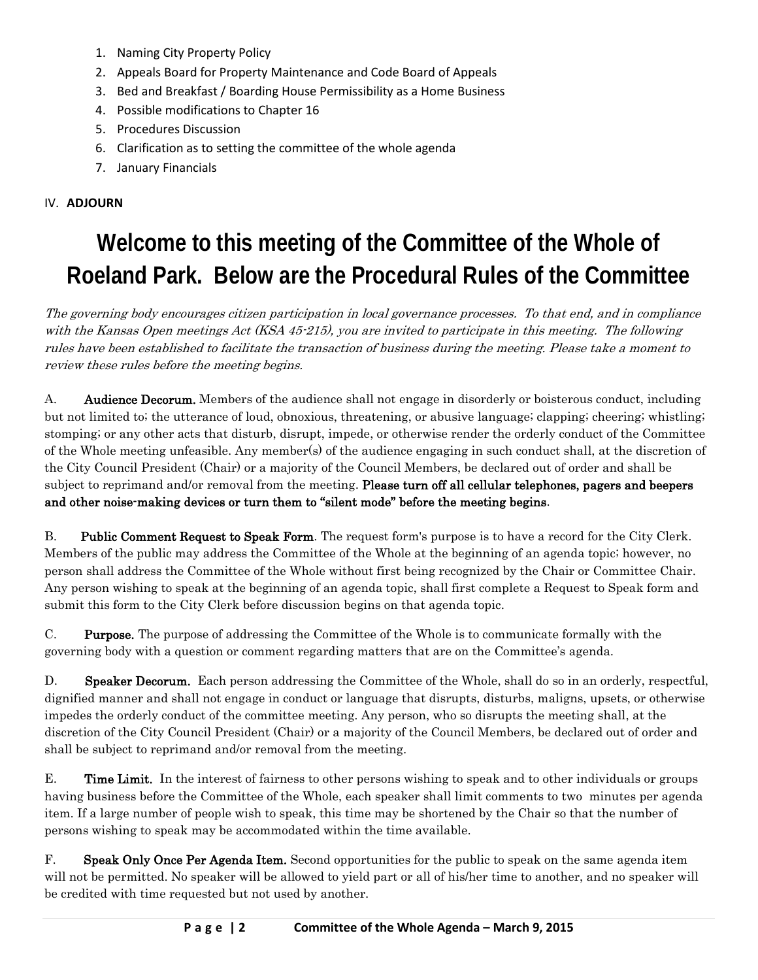- 1. Naming City Property Policy
- 2. Appeals Board for Property Maintenance and Code Board of Appeals
- 3. Bed and Breakfast / Boarding House Permissibility as a Home Business
- 4. Possible modifications to Chapter 16
- 5. Procedures Discussion
- 6. Clarification as to setting the committee of the whole agenda
- 7. January Financials

## IV. **ADJOURN**

# **Welcome to this meeting of the Committee of the Whole of Roeland Park. Below are the Procedural Rules of the Committee**

The governing body encourages citizen participation in local governance processes. To that end, and in compliance with the Kansas Open meetings Act (KSA 45-215), you are invited to participate in this meeting. The following rules have been established to facilitate the transaction of business during the meeting. Please take a moment to review these rules before the meeting begins.

A. Audience Decorum. Members of the audience shall not engage in disorderly or boisterous conduct, including but not limited to; the utterance of loud, obnoxious, threatening, or abusive language; clapping; cheering; whistling; stomping; or any other acts that disturb, disrupt, impede, or otherwise render the orderly conduct of the Committee of the Whole meeting unfeasible. Any member(s) of the audience engaging in such conduct shall, at the discretion of the City Council President (Chair) or a majority of the Council Members, be declared out of order and shall be subject to reprimand and/or removal from the meeting. Please turn off all cellular telephones, pagers and beepers and other noise-making devices or turn them to "silent mode" before the meeting begins.

B. Public Comment Request to Speak Form. The request form's purpose is to have a record for the City Clerk. Members of the public may address the Committee of the Whole at the beginning of an agenda topic; however, no person shall address the Committee of the Whole without first being recognized by the Chair or Committee Chair. Any person wishing to speak at the beginning of an agenda topic, shall first complete a Request to Speak form and submit this form to the City Clerk before discussion begins on that agenda topic.

C. Purpose. The purpose of addressing the Committee of the Whole is to communicate formally with the governing body with a question or comment regarding matters that are on the Committee's agenda.

D. Speaker Decorum. Each person addressing the Committee of the Whole, shall do so in an orderly, respectful, dignified manner and shall not engage in conduct or language that disrupts, disturbs, maligns, upsets, or otherwise impedes the orderly conduct of the committee meeting. Any person, who so disrupts the meeting shall, at the discretion of the City Council President (Chair) or a majority of the Council Members, be declared out of order and shall be subject to reprimand and/or removal from the meeting.

E. Time Limit. In the interest of fairness to other persons wishing to speak and to other individuals or groups having business before the Committee of the Whole, each speaker shall limit comments to two minutes per agenda item. If a large number of people wish to speak, this time may be shortened by the Chair so that the number of persons wishing to speak may be accommodated within the time available.

F. Speak Only Once Per Agenda Item. Second opportunities for the public to speak on the same agenda item will not be permitted. No speaker will be allowed to yield part or all of his/her time to another, and no speaker will be credited with time requested but not used by another.